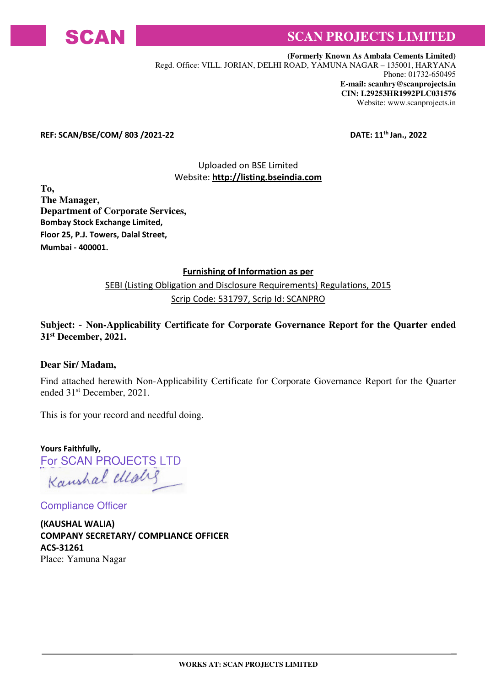

# SCAN**N** SCAN PROJECTS LIMITED

 **(Formerly Known As Ambala Cements Limited)**  Regd. Office: VILL. JORIAN, DELHI ROAD, YAMUNA NAGAR – 135001, HARYANA Phone: 01732-650495 **E-mail: scanhry@scanprojects.in CIN: L29253HR1992PLC031576** Website: www.scanprojects.in

#### REF: SCAN/BSE/COM/ 803 /2021-22 DATE: 11<sup>th</sup> Jan., 2022

### Uploaded on BSE Limited Website: http://listing.bseindia.com

**To, The Manager, Department of Corporate Services,**  Bombay Stock Exchange Limited, Floor 25, P.J. Towers, Dalal Street, Mumbai - 400001.

#### Furnishing of Information as per

### SEBI (Listing Obligation and Disclosure Requirements) Regulations, 2015 Scrip Code: 531797, Scrip Id: SCANPRO

#### **Subject:** - **Non-Applicability Certificate for Corporate Governance Report for the Quarter ended 31st December, 2021.**

#### **Dear Sir/ Madam,**

Find attached herewith Non-Applicability Certificate for Corporate Governance Report for the Quarter ended 31st December, 2021.

This is for your record and needful doing.

Yours Faithfully, For SCAN PROJECTS LTD<br>Kanshal *Ulalig* 

Compliance Officer

(KAUSHAL WALIA) COMPANY SECRETARY/ COMPLIANCE OFFICER ACS-31261 Place: Yamuna Nagar